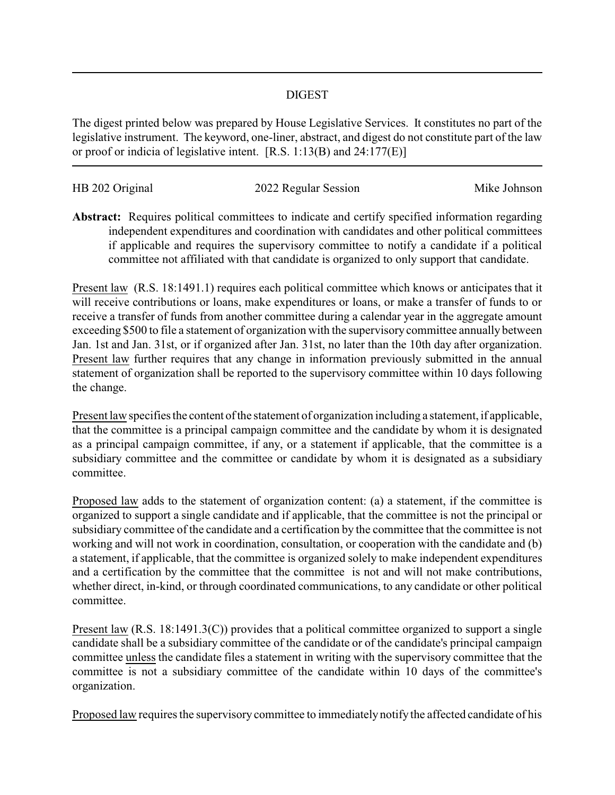## DIGEST

The digest printed below was prepared by House Legislative Services. It constitutes no part of the legislative instrument. The keyword, one-liner, abstract, and digest do not constitute part of the law or proof or indicia of legislative intent. [R.S. 1:13(B) and 24:177(E)]

| HB 202 Original | 2022 Regular Session | Mike Johnson |
|-----------------|----------------------|--------------|
|                 |                      |              |

**Abstract:** Requires political committees to indicate and certify specified information regarding independent expenditures and coordination with candidates and other political committees if applicable and requires the supervisory committee to notify a candidate if a political committee not affiliated with that candidate is organized to only support that candidate.

Present law (R.S. 18:1491.1) requires each political committee which knows or anticipates that it will receive contributions or loans, make expenditures or loans, or make a transfer of funds to or receive a transfer of funds from another committee during a calendar year in the aggregate amount exceeding \$500 to file a statement of organization with the supervisorycommittee annually between Jan. 1st and Jan. 31st, or if organized after Jan. 31st, no later than the 10th day after organization. Present law further requires that any change in information previously submitted in the annual statement of organization shall be reported to the supervisory committee within 10 days following the change.

Present law specifies the content of the statement of organization including a statement, if applicable, that the committee is a principal campaign committee and the candidate by whom it is designated as a principal campaign committee, if any, or a statement if applicable, that the committee is a subsidiary committee and the committee or candidate by whom it is designated as a subsidiary committee.

Proposed law adds to the statement of organization content: (a) a statement, if the committee is organized to support a single candidate and if applicable, that the committee is not the principal or subsidiary committee of the candidate and a certification by the committee that the committee is not working and will not work in coordination, consultation, or cooperation with the candidate and (b) a statement, if applicable, that the committee is organized solely to make independent expenditures and a certification by the committee that the committee is not and will not make contributions, whether direct, in-kind, or through coordinated communications, to any candidate or other political committee.

Present law (R.S. 18:1491.3(C)) provides that a political committee organized to support a single candidate shall be a subsidiary committee of the candidate or of the candidate's principal campaign committee unless the candidate files a statement in writing with the supervisory committee that the committee is not a subsidiary committee of the candidate within 10 days of the committee's organization.

Proposed law requires the supervisory committee to immediately notify the affected candidate of his